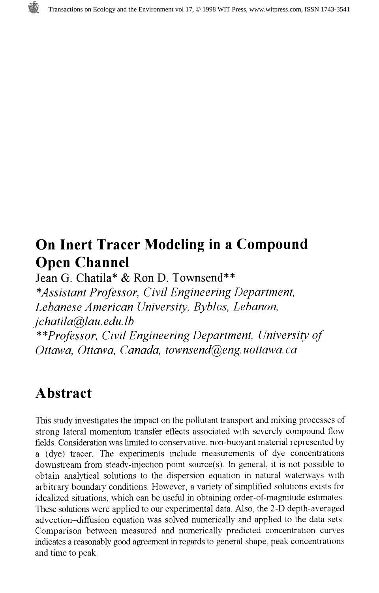

# On Inert Tracer Modeling in a Compound Open Channel

Jean G. Chatila\* & Ron D. Townsend\*\* ^Assistant Professor, Civil Engineering Department, Lebanese American University, Byblos, Lebanon, jchatila@lau. edu. Ib \*\*Professor, Civil Engineering Department, University of Ottawa, Ottawa, Canada, townsend@eng.uottawa.ca

# Abstract

This study investigates the impact on the pollutant transport and mixing processes of strong lateral momentum transfer effects associated with severely compound flow fields. Consideration was limited to conservative, non-buoyant material represented by a (dye) tracer. The experiments include measurements of dye concentrations downstream from steady-injection point source(s). In general, it is not possible to obtain analytical solutions to the dispersion equation in natural waterways with arbitrary boundary conditions. However, a variety of simplified solutions exists for idealized situations, which can be useful in obtaining order-of-magnitude estimates. These solutions were applied to our experimental data. Also, the 2-D depth-averaged advection-diffusion equation was solved numerically and applied to the data sets. Comparison between measured and numerically predicted concentration curves indicates a reasonably good agreement in regards to general shape, peak concentrations and time to peak.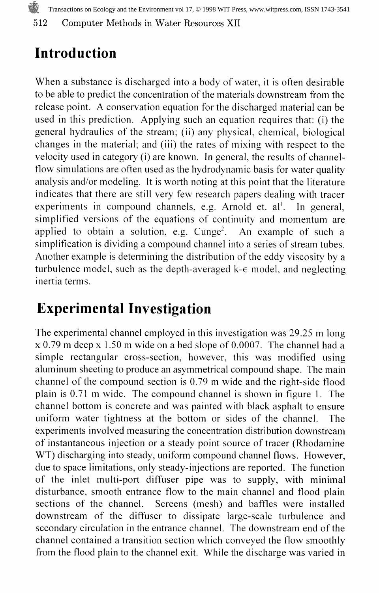Transactions on Ecology and the Environment vol 17, © 1998 WIT Press, www.witpress.com, ISSN 1743-3541

512 Computer Methods in Water Resources XII

# Introduction

When a substance is discharged into a body of water, it is often desirable to be able to predict the concentration of the materials downstream from the release point. A conservation equation for the discharged material can be used in this prediction. Applying such an equation requires that: (i) the general hydraulics of the stream; (ii) any physical, chemical, biological changes in the material; and (iii) the rates of mixing with respect to the velocity used in category (i) are known. In general, the results of channelflow simulations are often used as the hydrodynamic basis for water quality analysis and/or modeling. It is worth noting at this point that the literature indicates that there are still very few research papers dealing with tracer experiments in compound channels, e.g. Arnold et. al'. In general, simplified versions of the equations of continuity and momentum are applied to obtain a solution, e.g.  $Cunge^2$ . An example of such a simplification is dividing a compound channel into a series of stream tubes. Another example is determining the distribution of the eddy viscosity by a turbulence model, such as the depth-averaged k-e model, and neglecting inertia terms.

# Experimental Investigation

The experimental channel employed in this investigation was 29.25 m long x 0.79 m deep x 1.50 m wide on a bed slope of 0.0007. The channel had a simple rectangular cross-section, however, this was modified using aluminum sheeting to produce an asymmetrical compound shape. The main channel of the compound section is 0.79 m wide and the right-side flood plain is 0.71 m wide. The compound channel is shown in figure 1. The channel bottom is concrete and was painted with black asphalt to ensure uniform water tightness at the bottom or sides of the channel. The experiments involved measuring the concentration distribution downstream of instantaneous injection or a steady point source of tracer (Rhodamine WT) discharging into steady, uniform compound channel flows. However, due to space limitations, only steady-injections are reported. The function of the inlet multi-port diffuser pipe was to supply, with minimal disturbance, smooth entrance flow to the main channel and flood plain sections of the channel. Screens (mesh) and baffles were installed downstream of the diffuser to dissipate large-scale turbulence and secondary circulation in the entrance channel. The downstream end of the channel contained a transition section which conveyed the flow smoothly from the flood plain to the channel exit. While the discharge was varied in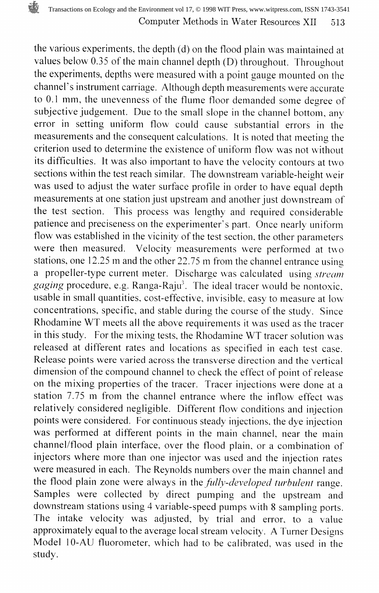the various experiments, the depth (d) on the flood plain was maintained at values below 0.35 of the main channel depth (D) throughout. Throughout the experiments, depths were measured with a point gauge mounted on the channel's instrument carriage. Although depth measurements were accurate to 0.1 mm, the unevenness of the flume floor demanded some degree of subjective judgement. Due to the small slope in the channel bottom, any error in setting uniform flow could cause substantial errors in the measurements and the consequent calculations. It is noted that meeting the criterion used to determine the existence of uniform flow was not without its difficulties. It was also important to have the velocity contours at two sections within the test reach similar. The downstream variable-height weir was used to adjust the water surface profile in order to have equal depth measurements at one station just upstream and another just downstream of the test section. This process was lengthy and required considerable patience and preciseness on the experimenter's part. Once nearly uniform flow was established in the vicinity of the test section, the other parameters were then measured. Velocity measurements were performed at two stations, one 12.25 m and the other 22.75 m from the channel entrance using a propeller-type current meter. Discharge was calculated using stream *gaging* procedure, e.g. Ranga-Raju<sup>3</sup>. The ideal tracer would be nontoxic, usable in small quantities, cost-effective, invisible, easy to measure at low concentrations, specific, and stable during the course of the study. Since Rhodamine WT meets all the above requirements it was used as the tracer in this study. For the mixing tests, the Rhodamine WT tracer solution was released at different rates and locations as specified in each test case. Release points were varied across the transverse direction and the vertical dimension of the compound channel to check the effect of point of release on the mixing properties of the tracer. Tracer injections were done at a station 7.75 m from the channel entrance where the inflow effect was relatively considered negligible. Different flow conditions and injection points were considered. For continuous steady injections, the dye injection was performed at different points in the main channel, near the main channel/flood plain interface, over the flood plain, or a combination of injectors where more than one injector was used and the injection rates were measured in each. The Reynolds numbers over the main channel and the flood plain zone were always in the *fully-developed turbulent* range. Samples were collected by direct pumping and the upstream and downstream stations using 4 variable-speed pumps with 8 sampling ports. The intake velocity was adjusted, by trial and error, to a value approximately equal to the average local stream velocity. A Turner Designs Model 10-AU fluorometer, which had to be calibrated, was used in the study.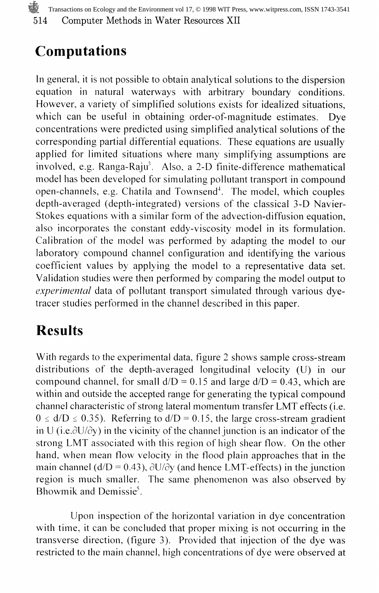514 Computer Methods in Water Resources XII Transactions on Ecology and the Environment vol 17, © 1998 WIT Press, www.witpress.com, ISSN 1743-3541

### Computations

In general, it is not possible to obtain analytical solutions to the dispersion equation in natural waterways with arbitrary boundary conditions. However, a variety of simplified solutions exists for idealized situations, which can be useful in obtaining order-of-magnitude estimates. Dye concentrations were predicted using simplified analytical solutions of the corresponding partial differential equations. These equations are usually applied for limited situations where many simplifying assumptions are involved, e.g. Ranga-Raju<sup>3</sup>. Also, a 2-D finite-difference mathematical model has been developed for simulating pollutant transport in compound open-channels, e.g. Chatila and Townsend<sup>4</sup>. The model, which couples depth-averaged (depth-integrated) versions of the classical 3-D Navier-Stokes equations with a similar form of the advection-diffusion equation, also incorporates the constant eddy-viscosity model in its formulation. Calibration of the model was performed by adapting the model to our laboratory compound channel configuration and identifying the various coefficient values by applying the model to a representative data set. Validation studies were then performed by comparing the model output to experimental data of pollutant transport simulated through various dvetracer studies performed in the channel described in this paper.

# **Results**

With regards to the experimental data, figure 2 shows sample cross-stream distributions of the depth-averaged longitudinal velocity (U) in our compound channel, for small  $d/D = 0.15$  and large  $d/D = 0.43$ , which are within and outside the accepted range for generating the typical compound channel characteristic of strong lateral momentum transfer LMT effects (i.e.  $0 \le d/D \le 0.35$ ). Referring to  $d/D = 0.15$ , the large cross-stream gradient in U (i.e. $\partial U/\partial y$ ) in the vicinity of the channel junction is an indicator of the strong LMT associated with this region of high shear flow. On the other hand, when mean flow velocity in the flood plain approaches that in the main channel ( $d/D = 0.43$ ),  $\partial U/\partial y$  (and hence LMT-effects) in the junction region is much smaller. The same phenomenon was also observed by Bhowmik and Demissie $\delta$ .

Upon inspection of the horizontal variation in dye concentration with time, it can be concluded that proper mixing is not occurring in the transverse direction, (figure 3). Provided that injection of the dye was restricted to the main channel, high concentrations of dye were observed at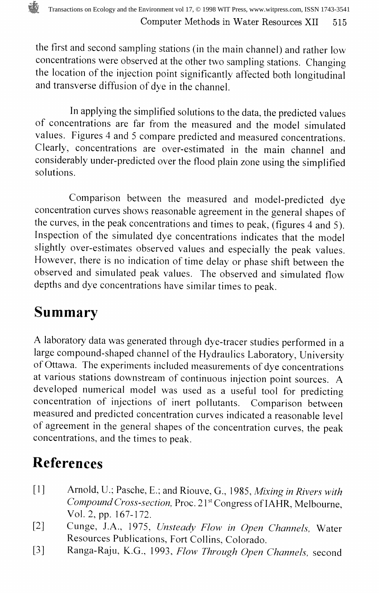the first and second sampling stations (in the main channel) and rather low concentrations were observed at the other two sampling stations. Changing the location of the injection point significantly affected both longitudinal and transverse diffusion of dye in the channel.

In applying the simplified solutions to the data, the predicted values of concentrations are far from the measured and the model simulated values. Figures 4 and 5 compare predicted and measured concentrations. Clearly, concentrations are over-estimated in the main channel and considerably under-predicted over the flood plain zone using the simplified solutions.

Comparison between the measured and model-predicted dye concentration curves shows reasonable agreement in the general shapes of the curves, in the peak concentrations and times to peak, (figures 4 and 5). Inspection of the simulated dye concentrations indicates that the model slightly over-estimates observed values and especially the peak values. However, there is no indication of time delay or phase shift between the observed and simulated peak values. The observed and simulated flow depths and dye concentrations have similar times to peak.

# Summary

A laboratory data was generated through dye-tracer studies performed in a large compound-shaped channel of the Hydraulics Laboratory, University of Ottawa. The experiments included measurements of dye concentrations at various stations downstream of continuous injection point sources. A developed numerical model was used as a useful tool for predicting concentration of injections of inert pollutants. Comparison between measured and predicted concentration curves indicated a reasonable level of agreement in the general shapes of the concentration curves, the peak concentrations, and the times to peak.

# References

- [1] Arnold, U.; Pasche, E.; and Riouve, G., 1985, Mixing in Rivers with Compound Cross-section, Proc. 21<sup>st</sup> Congress of IAHR, Melbourne, Vol. 2, pp. 167-172.
- [2] Cunge, J.A., 1975, Unsteady Flow in Open Channels, Water Resources Publications, Fort Collins, Colorado.
- [3] Ranga-Raju, K.G., 1993, Flow Through Open Channels, second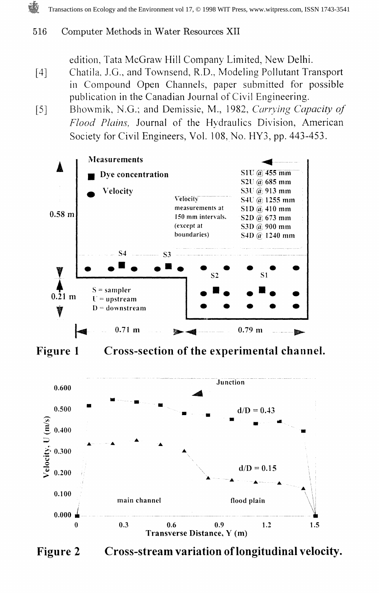#### 516 Computer Methods in Water Resources XII

edition, Tata McGraw Hill Company Limited, New Delhi.

- [4] Chatila. J.G., and Townsend, R.D., Modeling Pollutant Transport in Compound Open Channels, paper submitted for possible publication in the Canadian Journal of Civil Engineering.
- [5] Bhowmik, N.G.; and Demissie, M., 1982, Carrying Capacity of Flood Plains, Journal of the Hydraulics Division, American Society for Civil Engineers, Vol. 108, No. HY3, pp. 443-453.



Figure 2 Cross-stream variation of longitudinal velocity.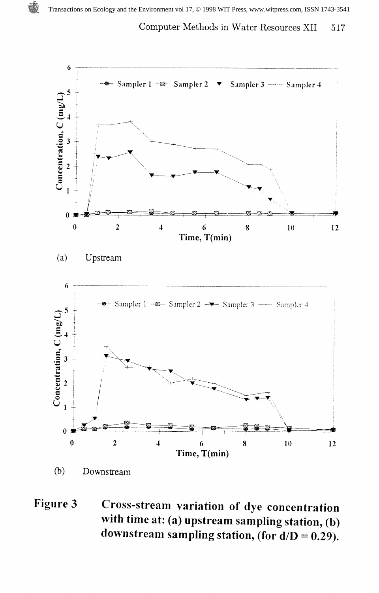#### Computer Methods in Water Resources XII 517



#### Figure 3 Cross-stream variation of dye concentration with time at: (a) upstream sampling station, (b) downstream sampling station, (for  $d/D = 0.29$ ).